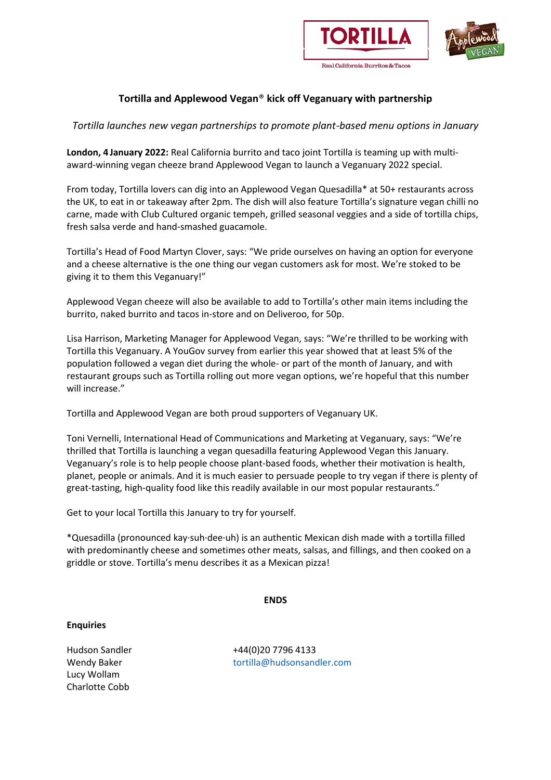



#### Real California Burritos & Tacos

## **Tortilla and Applewood Vegan**® **kick off Veganuary with partnership**

*Tortilla launches new vegan partnerships to promote plant-based menu options in January*

**London, 4 January 2022:** Real California burrito and taco joint Tortilla is teaming up with multiaward-winning vegan cheeze brand Applewood Vegan to launch a Veganuary 2022 special.

From today, Tortilla lovers can dig into an Applewood Vegan Quesadilla\* at 50+ restaurants across the UK, to eat in or takeaway after 2pm. The dish will also feature Tortilla's signature vegan chilli no carne, made with Club Cultured organic tempeh, grilled seasonal veggies and a side of tortilla chips, fresh salsa verde and hand-smashed guacamole.

Tortilla's Head of Food Martyn Clover, says: "We pride ourselves on having an option for everyone and a cheese alternative is the one thing our vegan customers ask for most. We're stoked to be giving it to them this Veganuary!"

Applewood Vegan cheeze will also be available to add to Tortilla's other main items including the burrito, naked burrito and tacos in-store and on Deliveroo, for 50p.

Lisa Harrison, Marketing Manager for Applewood Vegan, says: "We're thrilled to be working with Tortilla this Veganuary. A YouGov survey from earlier this year showed that at least 5% of the population followed a vegan diet during the whole- or part of the month of January, and with restaurant groups such as Tortilla rolling out more vegan options, we're hopeful that this number will increase."

Tortilla and Applewood Vegan are both proud supporters of Veganuary UK.

Toni Vernelli, International Head of Communications and Marketing at Veganuary, says: "We're thrilled that Tortilla is launching a vegan quesadilla featuring Applewood Vegan this January. Veganuary's role is to help people choose plant-based foods, whether their motivation is health, planet, people or animals. And it is much easier to persuade people to try vegan if there is plenty of great-tasting, high-quality food like this readily available in our most popular restaurants."

Get to your local Tortilla this January to try for yourself.

\*Quesadilla (pronounced kay·suh·dee·uh) is an authentic Mexican dish made with a tortilla filled with predominantly cheese and sometimes other meats, salsas, and fillings, and then cooked on a griddle or stove. Tortilla's menu describes it as a Mexican pizza!

### **ENDS**

### **Enquiries**

Wendy Baker Lucy Wollam Charlotte Cobb

Hudson Sandler +44(0)20 7796 4133 tortilla@hudsonsandler.com